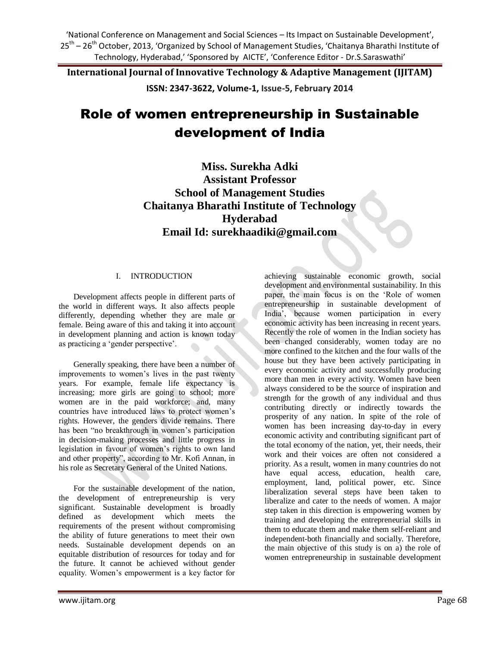**International Journal of Innovative Technology & Adaptive Management (IJITAM)**

**ISSN: 2347-3622, Volume-1, Issue-5, February 2014**

# Role of women entrepreneurship in Sustainable development of India

**Miss. Surekha Adki Assistant Professor School of Management Studies Chaitanya Bharathi Institute of Technology Hyderabad Email Id: surekhaadiki@gmail.com**

# I. INTRODUCTION

Development affects people in different parts of the world in different ways. It also affects people differently, depending whether they are male or female. Being aware of this and taking it into account in development planning and action is known today as practicing a "gender perspective".

Generally speaking, there have been a number of improvements to women"s lives in the past twenty years. For example, female life expectancy is increasing; more girls are going to school; more women are in the paid workforce; and, many countries have introduced laws to protect women"s rights. However, the genders divide remains. There has been "no breakthrough in women"s participation in decision-making processes and little progress in legislation in favour of women"s rights to own land and other property", according to Mr. Kofi Annan, in his role as Secretary General of the United Nations.

For the sustainable development of the nation, the development of entrepreneurship is very significant. Sustainable development is broadly defined as development which meets the requirements of the present without compromising the ability of future generations to meet their own needs. Sustainable development depends on an equitable distribution of resources for today and for the future. It cannot be achieved without gender equality. Women"s empowerment is a key factor for

achieving sustainable economic growth, social development and environmental sustainability. In this paper, the main focus is on the "Role of women entrepreneurship in sustainable development of India", because women participation in every economic activity has been increasing in recent years. Recently the role of women in the Indian society has been changed considerably, women today are no more confined to the kitchen and the four walls of the house but they have been actively participating in every economic activity and successfully producing more than men in every activity. Women have been always considered to be the source of inspiration and strength for the growth of any individual and thus contributing directly or indirectly towards the prosperity of any nation. In spite of the role of women has been increasing day-to-day in every economic activity and contributing significant part of the total economy of the nation, yet, their needs, their work and their voices are often not considered a priority. As a result, women in many countries do not have equal access, education, health care, employment, land, political power, etc. Since liberalization several steps have been taken to liberalize and cater to the needs of women. A major step taken in this direction is empowering women by training and developing the entrepreneurial skills in them to educate them and make them self-reliant and independent-both financially and socially. Therefore, the main objective of this study is on a) the role of women entrepreneurship in sustainable development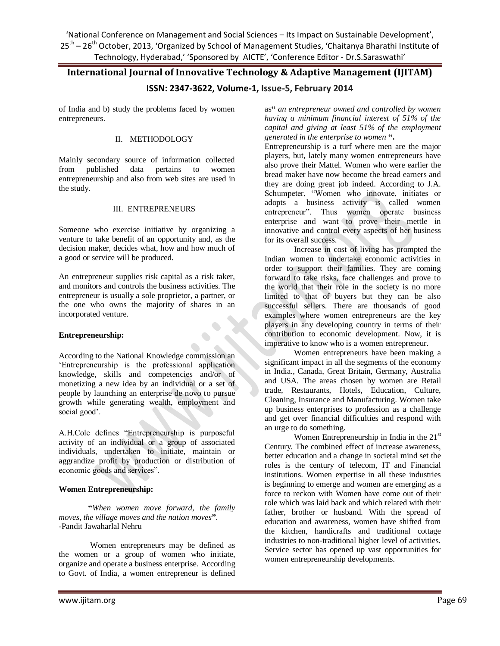# **International Journal of Innovative Technology & Adaptive Management (IJITAM)**

# **ISSN: 2347-3622, Volume-1, Issue-5, February 2014**

of India and b) study the problems faced by women entrepreneurs.

# II. METHODOLOGY

Mainly secondary source of information collected from published data pertains to women entrepreneurship and also from web sites are used in the study.

# III. ENTREPRENEURS

Someone who exercise initiative by organizing a venture to take benefit of an opportunity and, as the decision maker, decides what, how and how much of a good or service will be produced.

An entrepreneur supplies risk capital as a risk taker, and monitors and controls the business activities. The entrepreneur is usually a sole proprietor, a partner, or the one who owns the majority of shares in an incorporated venture.

### **Entrepreneurship:**

According to the National Knowledge commission an "Entrepreneurship is the professional application knowledge, skills and competencies and/or of monetizing a new idea by an individual or a set of people by launching an enterprise de novo to pursue growth while generating wealth, employment and social good'.

A.H.Cole defines "Entrepreneurship is purposeful activity of an individual or a group of associated individuals, undertaken to initiate, maintain or aggrandize profit by production or distribution of economic goods and services".

### **Women Entrepreneurship:**

**"***When women move forward, the family moves, the village moves and the nation moves***"**. -Pandit Jawaharlal Nehru

Women entrepreneurs may be defined as the women or a group of women who initiate, organize and operate a business enterprise. According to Govt. of India, a women entrepreneur is defined as**"** *an entrepreneur owned and controlled by women having a minimum financial interest of 51% of the capital and giving at least 51% of the employment generated in the enterprise to women* **".**

Entrepreneurship is a turf where men are the major players, but, lately many women entrepreneurs have also prove their Mattel. Women who were earlier the bread maker have now become the bread earners and they are doing great job indeed. According to J.A. Schumpeter, "Women who innovate, initiates or adopts a business activity is called women entrepreneur". Thus women operate business enterprise and want to prove their mettle in innovative and control every aspects of her business for its overall success.

Increase in cost of living has prompted the Indian women to undertake economic activities in order to support their families. They are coming forward to take risks, face challenges and prove to the world that their role in the society is no more limited to that of buyers but they can be also successful sellers. There are thousands of good examples where women entrepreneurs are the key players in any developing country in terms of their contribution to economic development. Now, it is imperative to know who is a women entrepreneur.

Women entrepreneurs have been making a significant impact in all the segments of the economy in India., Canada, Great Britain, Germany, Australia and USA. The areas chosen by women are Retail trade, Restaurants, Hotels, Education, Culture, Cleaning, Insurance and Manufacturing. Women take up business enterprises to profession as a challenge and get over financial difficulties and respond with an urge to do something.

Women Entrepreneurship in India in the 21<sup>st</sup> Century. The combined effect of increase awareness, better education and a change in societal mind set the roles is the century of telecom, IT and Financial institutions. Women expertise in all these industries is beginning to emerge and women are emerging as a force to reckon with Women have come out of their role which was laid back and which related with their father, brother or husband. With the spread of education and awareness, women have shifted from the kitchen, handicrafts and traditional cottage industries to non-traditional higher level of activities. Service sector has opened up vast opportunities for women entrepreneurship developments.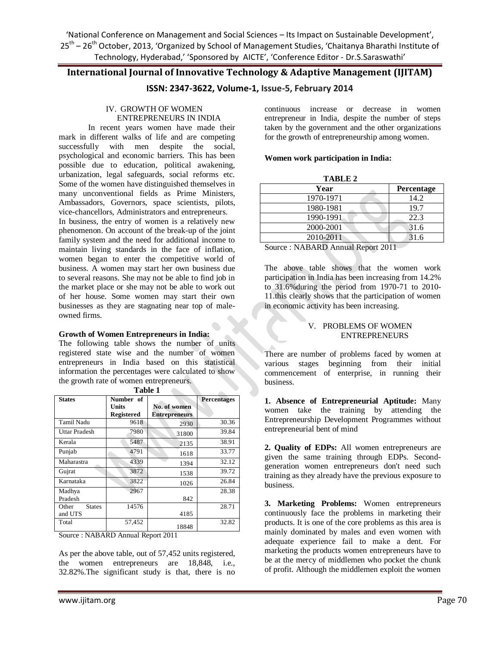# **International Journal of Innovative Technology & Adaptive Management (IJITAM)**

**ISSN: 2347-3622, Volume-1, Issue-5, February 2014**

#### IV. GROWTH OF WOMEN ENTREPRENEURS IN INDIA

In recent years women have made their mark in different walks of life and are competing successfully with men despite the social, psychological and economic barriers. This has been possible due to education, political awakening, urbanization, legal safeguards, social reforms etc. Some of the women have distinguished themselves in many unconventional fields as Prime Ministers, Ambassadors, Governors, space scientists, pilots, vice-chancellors, Administrators and entrepreneurs. In business, the entry of women is a relatively new phenomenon. On account of the break-up of the joint family system and the need for additional income to maintain living standards in the face of inflation, women began to enter the competitive world of business. A women may start her own business due to several reasons. She may not be able to find job in the market place or she may not be able to work out of her house. Some women may start their own businesses as they are stagnating near top of maleowned firms.

#### **Growth of Women Entrepreneurs in India:**

The following table shows the number of units registered state wise and the number of women entrepreneurs in India based on this statistical information the percentages were calculated to show the growth rate of women entrepreneurs.

| <b>States</b>          | Number of         |                      | <b>Percentages</b> |
|------------------------|-------------------|----------------------|--------------------|
|                        | Units             | No. of women         |                    |
|                        | <b>Registered</b> | <b>Entrepreneurs</b> |                    |
| Tamil Nadu             | 9618              | 2930                 | 30.36              |
| Uttar Pradesh          | 7980              | 31800                | 39.84              |
| Kerala                 | 5487              | 2135                 | 38.91              |
| Punjab                 | 4791              | 1618                 | 33.77              |
| Maharastra             | 4339              | 1394                 | 32.12              |
| Gujrat                 | 3872              | 1538                 | 39.72              |
| Karnataka              | 3822              | 1026                 | 26.84              |
| Madhya                 | 2967              |                      | 28.38              |
| Pradesh                |                   | 842                  |                    |
| Other<br><b>States</b> | 14576             |                      | 28.71              |
| and UTS                |                   | 4185                 |                    |
| Total                  | 57,452            | 18848                | 32.82              |

**Table 1**  $\mathcal{L}_{\mathcal{M}}$ 

Source : NABARD Annual Report 2011

As per the above table, out of 57,452 units registered, the women entrepreneurs are 18,848, i.e., 32.82%.The significant study is that, there is no continuous increase or decrease in women entrepreneur in India, despite the number of steps taken by the government and the other organizations for the growth of entrepreneurship among women.

#### **Women work participation in India:**

| TABLE 2 |  |
|---------|--|
|---------|--|

| Year                            | Percentage |
|---------------------------------|------------|
| 1970-1971                       | 14.2       |
| 1980-1981                       | 19.7       |
| 1990-1991                       | 22.3       |
| 2000-2001                       | 31.6       |
| 2010-2011                       | 31.6       |
| $\overline{\phantom{a}}$<br>- - | .          |

Source : NABARD Annual Report 2011

The above table shows that the women work participation in India has been increasing from 14.2% to 31.6%during the period from 1970-71 to 2010- 11.this clearly shows that the participation of women in economic activity has been increasing.

#### V. PROBLEMS OF WOMEN ENTREPRENEURS

There are number of problems faced by women at various stages beginning from their initial commencement of enterprise, in running their business.

**1. Absence of Entrepreneurial Aptitude:** Many women take the training by attending the Entrepreneurship Development Programmes without entrepreneurial bent of mind

**2. Quality of EDPs:** All women entrepreneurs are given the same training through EDPs. Secondgeneration women entrepreneurs don't need such training as they already have the previous exposure to business.

**3. Marketing Problems:** Women entrepreneurs continuously face the problems in marketing their products. It is one of the core problems as this area is mainly dominated by males and even women with adequate experience fail to make a dent. For marketing the products women entrepreneurs have to be at the mercy of middlemen who pocket the chunk of profit. Although the middlemen exploit the women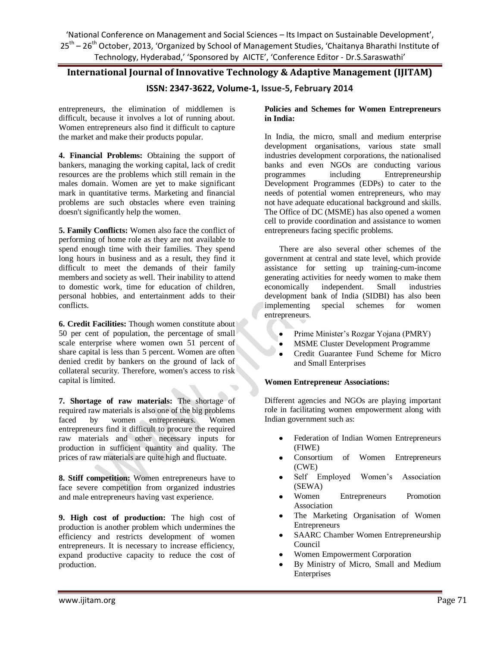# **International Journal of Innovative Technology & Adaptive Management (IJITAM)**

# **ISSN: 2347-3622, Volume-1, Issue-5, February 2014**

entrepreneurs, the elimination of middlemen is difficult, because it involves a lot of running about. Women entrepreneurs also find it difficult to capture the market and make their products popular.

**4. Financial Problems:** Obtaining the support of bankers, managing the working capital, lack of credit resources are the problems which still remain in the males domain. Women are yet to make significant mark in quantitative terms. Marketing and financial problems are such obstacles where even training doesn't significantly help the women.

**5. Family Conflicts:** Women also face the conflict of performing of home role as they are not available to spend enough time with their families. They spend long hours in business and as a result, they find it difficult to meet the demands of their family members and society as well. Their inability to attend to domestic work, time for education of children, personal hobbies, and entertainment adds to their conflicts.

**6. Credit Facilities:** Though women constitute about 50 per cent of population, the percentage of small scale enterprise where women own 51 percent of share capital is less than 5 percent. Women are often denied credit by bankers on the ground of lack of collateral security. Therefore, women's access to risk capital is limited.

**7. Shortage of raw materials:** The shortage of required raw materials is also one of the big problems faced by women entrepreneurs. Women entrepreneurs find it difficult to procure the required raw materials and other necessary inputs for production in sufficient quantity and quality. The prices of raw materials are quite high and fluctuate.

**8. Stiff competition:** Women entrepreneurs have to face severe competition from organized industries and male entrepreneurs having vast experience.

**9. High cost of production:** The high cost of production is another problem which undermines the efficiency and restricts development of women entrepreneurs. It is necessary to increase efficiency, expand productive capacity to reduce the cost of production.

#### **Policies and Schemes for Women Entrepreneurs in India:**

In India, the micro, small and medium enterprise development organisations, various state small industries development corporations, the nationalised banks and even NGOs are conducting various programmes including Entrepreneurship Development Programmes (EDPs) to cater to the needs of potential women entrepreneurs, who may not have adequate educational background and skills. The Office of DC (MSME) has also opened a women cell to provide coordination and assistance to women entrepreneurs facing specific problems.

There are also several other schemes of the government at central and state level, which provide assistance for setting up training-cum-income generating activities for needy women to make them economically independent. Small industries development bank of India (SIDBI) has also been<br>implementing special schemes for women special schemes for women entrepreneurs.

- $\bullet$ Prime Minister"s Rozgar Yojana (PMRY)
- MSME Cluster Development Programme
- $\bullet$ Credit Guarantee Fund Scheme for Micro and Small Enterprises

#### **Women Entrepreneur Associations:**

Different agencies and NGOs are playing important role in facilitating women empowerment along with Indian government such as:

- Federation of Indian Women Entrepreneurs (FIWE)
- Consortium of Women Entrepreneurs (CWE)
- Self Employed Women"s Association (SEWA)
- Women Entrepreneurs Promotion Association
- The Marketing Organisation of Women Entrepreneurs
- SAARC Chamber Women Entrepreneurship Council
- Women Empowerment Corporation
- By Ministry of Micro, Small and Medium Enterprises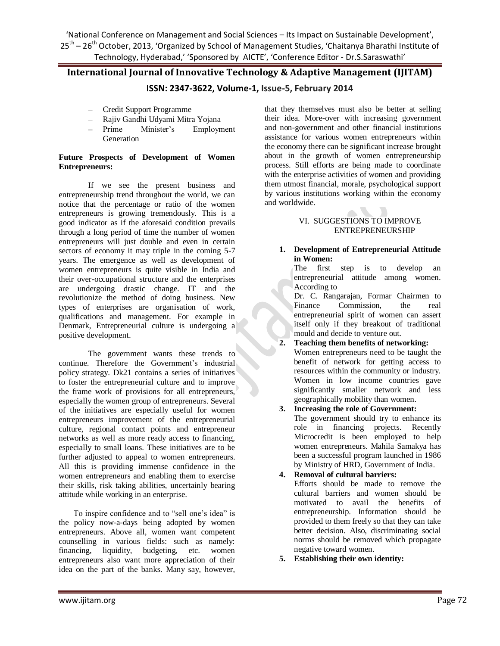# **International Journal of Innovative Technology & Adaptive Management (IJITAM)**

# **ISSN: 2347-3622, Volume-1, Issue-5, February 2014**

- Credit Support Programme
- Rajiv Gandhi Udyami Mitra Yojana
- Prime Minister"s Employment Generation

#### **Future Prospects of Development of Women Entrepreneurs:**

If we see the present business and entrepreneurship trend throughout the world, we can notice that the percentage or ratio of the women entrepreneurs is growing tremendously. This is a good indicator as if the aforesaid condition prevails through a long period of time the number of women entrepreneurs will just double and even in certain sectors of economy it may triple in the coming 5-7 years. The emergence as well as development of women entrepreneurs is quite visible in India and their over-occupational structure and the enterprises are undergoing drastic change. IT and the revolutionize the method of doing business. New types of enterprises are organisation of work, qualifications and management. For example in Denmark, Entrepreneurial culture is undergoing a positive development.

The government wants these trends to continue. Therefore the Government's industrial policy strategy. Dk21 contains a series of initiatives to foster the entrepreneurial culture and to improve the frame work of provisions for all entrepreneurs, especially the women group of entrepreneurs. Several of the initiatives are especially useful for women entrepreneurs improvement of the entrepreneurial culture, regional contact points and entrepreneur networks as well as more ready access to financing, especially to small loans. These initiatives are to be further adjusted to appeal to women entrepreneurs. All this is providing immense confidence in the women entrepreneurs and enabling them to exercise their skills, risk taking abilities, uncertainly bearing attitude while working in an enterprise.

To inspire confidence and to "sell one"s idea" is the policy now-a-days being adopted by women entrepreneurs. Above all, women want competent counselling in various fields: such as namely: financing, liquidity, budgeting, etc. women entrepreneurs also want more appreciation of their idea on the part of the banks. Many say, however,

that they themselves must also be better at selling their idea. More-over with increasing government and non-government and other financial institutions assistance for various women entrepreneurs within the economy there can be significant increase brought about in the growth of women entrepreneurship process. Still efforts are being made to coordinate with the enterprise activities of women and providing them utmost financial, morale, psychological support by various institutions working within the economy and worldwide.

### VI. SUGGESTIONS TO IMPROVE ENTREPRENEURSHIP

#### **1. Development of Entrepreneurial Attitude in Women:**

The first step is to develop an entrepreneurial attitude among women. According to

Dr. C. Rangarajan, Formar Chairmen to Finance Commission, the real entrepreneurial spirit of women can assert itself only if they breakout of traditional mould and decide to venture out.

**2. Teaching them benefits of networking:** Women entrepreneurs need to be taught the benefit of network for getting access to resources within the community or industry. Women in low income countries gave significantly smaller network and less geographically mobility than women.

### **3. Increasing the role of Government:**

The government should try to enhance its role in financing projects. Recently Microcredit is been employed to help women entrepreneurs. Mahila Samakya has been a successful program launched in 1986 by Ministry of HRD, Government of India.

### **4. Removal of cultural barriers:**

Efforts should be made to remove the cultural barriers and women should be motivated to avail the benefits of entrepreneurship. Information should be provided to them freely so that they can take better decision. Also, discriminating social norms should be removed which propagate negative toward women.

**5. Establishing their own identity:**